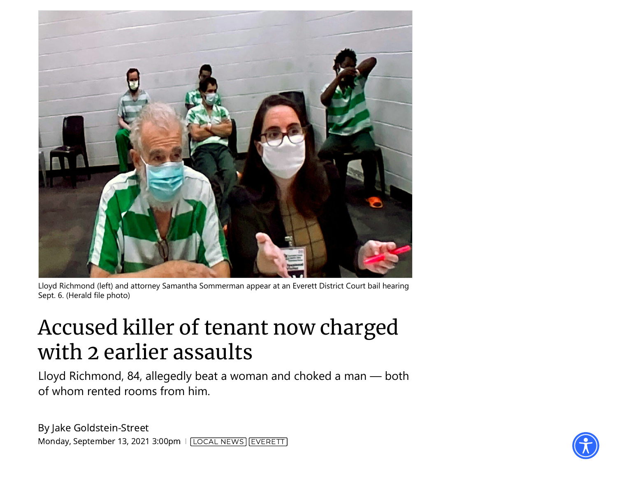

Lloyd Richmond (left) and attorney Samantha Sommerman appear at an Everett District Court bail hearing Sept. 6. (Herald file photo)

## Accused killer of tenant now charged with 2 earlier assaults

Lloyd Richmond, 84, allegedly beat a woman and choked a man — both of whom rented rooms from him.

By Jake [Goldstein-Street](https://www.heraldnet.com/author/jake-goldstein-street/) Monday, September 13, 2021 3:00pm | [[LOCAL](https://www.heraldnet.com/news/) NEWS] [EVERETT](https://www.heraldnet.com/tag/everett/)]

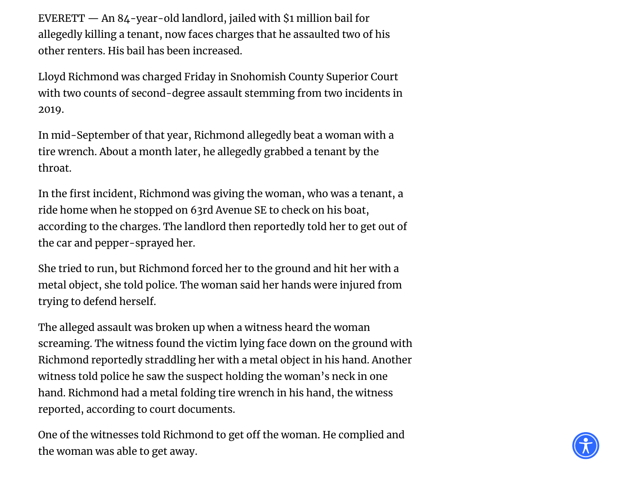EVERETT — An 84-year-old landlord, jailed with \$1 million bail for allegedly killing a tenant, now faces charges that he assaulted two of his other renters. His bail has been increased.

Lloyd Richmond was charged Friday in Snohomish County Superior Court with two counts of second-degree assault stemming from two incidents in 2019.

In mid-September of that year, Richmond allegedly beat a woman with a tire wrench. About a month later, he allegedly grabbed a tenant by the throat.

In the first incident, Richmond was giving the woman, who was a tenant, a ride home when he stopped on 63rd Avenue SE to check on his boat, according to the charges. The landlord then reportedly told her to get out of the car and pepper-sprayed her.

She tried to run, but Richmond forced her to the ground and hit her with a metal object, she told police. The woman said her hands were injured from trying to defend herself.

The alleged assault was broken up when a witness heard the woman screaming. The witness found the victim lying face down on the ground with Richmond reportedly straddling her with a metal object in his hand. Another witness told police he saw the suspect holding the woman's neck in one hand. Richmond had a metal folding tire wrench in his hand, the witness reported, according to court documents.

One of the witnesses told Richmond to get off the woman. He complied and the woman was able to get away.

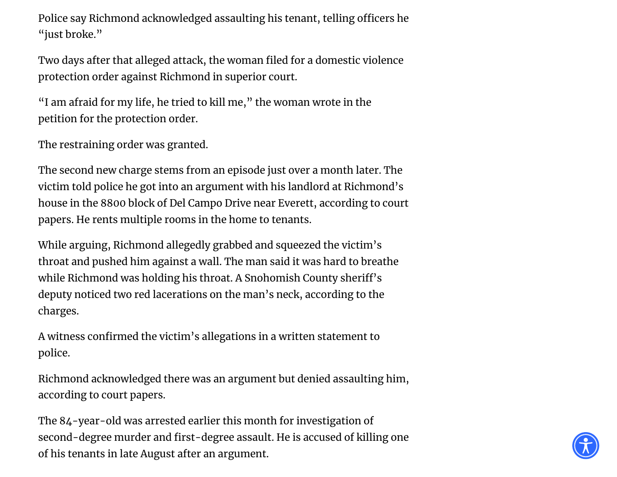Police say Richmond acknowledged assaulting his tenant, telling officers he "just broke."

Two days after that alleged attack, the woman filed for a domestic violence protection order against Richmond in superior court.

"I am afraid for my life, he tried to kill me, " the woman wrote in the petition for the protection order.

The restraining order was granted.

The second new charge stems from an episode just over a month later. The victim told police he got into an argument with his landlord at Richmond's house in the 8800 block of Del Campo Drive near Everett, according to court papers. He rents multiple rooms in the home to tenants.

While arguing, Richmond allegedly grabbed and squeezed the victim's throat and pushed him against a wall. The man said it was hard to breathe while Richmond was holding his throat. A Snohomish County sheriff's deputy noticed two red lacerations on the man's neck, according to the charges.

A witness confirmed the victim's allegations in a written statement to police.

Richmond acknowledged there was an argument but denied assaulting him, according to court papers.

The 84-year-old was arrested earlier this month for investigation of second-degree murder and first-degree assault. He is accused of killing one of his tenants in late August after an argument.

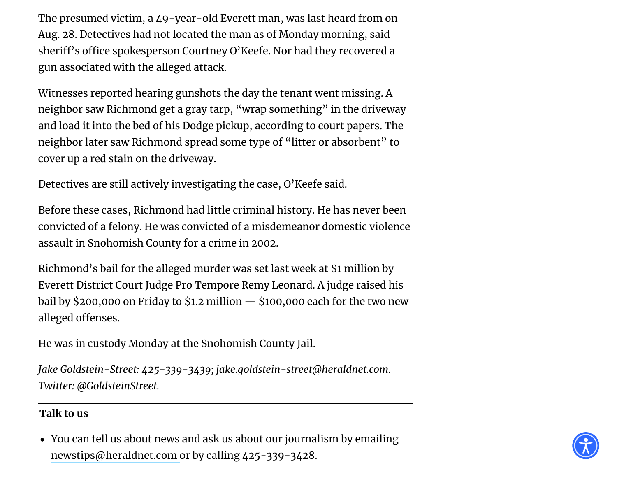The presumed victim, a 49-year-old Everett man, was last heard from on Aug. 28. Detectives had not located the man as of Monday morning, said sheriff's office spokesperson Courtney O'Keefe. Nor had they recovered a gun associated with the alleged attack.

Witnesses reported hearing gunshots the day the tenant went missing. A neighbor saw Richmond get a gray tarp, "wrap something" in the driveway and load it into the bed of his Dodge pickup, according to court papers. The neighbor later saw Richmond spread some type of "litter or absorbent" to cover up a red stain on the driveway.

Detectives are still actively investigating the case, O'Keefe said.

Before these cases, Richmond had little criminal history. He has never been convicted of a felony. He was convicted of a misdemeanor domestic violence assault in Snohomish County for a crime in 2002.

Richmond's bail for the alleged murder was set last week at \$1 million by Everett District Court Judge Pro Tempore Remy Leonard. A judge raised his bail by \$200,000 on Friday to \$1.2 million  $-$  \$100,000 each for the two new alleged offenses.

He was in custody Monday at the Snohomish County Jail.

*Jake Goldstein-Street: 425-339-3439; jake.goldstein-street@heraldnet.com. Twitter: @GoldsteinStreet.*

## **Talk to us**

You can tell us about news and ask us about our journalism by emailing [newstips@heraldnet.com](mailto:newstips@heraldnet.com) or by calling 425-339-3428.